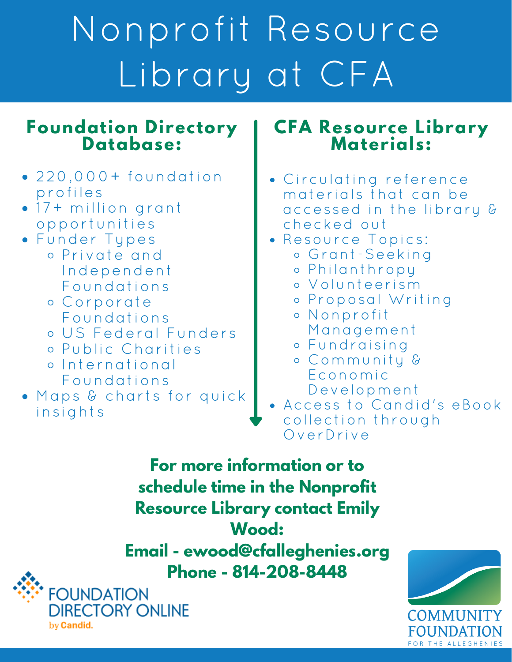# Nonprofit Resource Library at CFA

#### **Foundation Directory Database:**

- $\bullet$  220,000+ foundation profiles
- 17+ million grant opportunities
- Funder Types
	- Private and Independent Foundations
	- Corporate Foundations
	- US Federal Funders
	- Public Charities
	- International Foundations
- Maps & charts for quick insights

#### **CFA Resource Library Materials:**

- Circulating reference materials that can be accessed in the library & checked out
- Resource Topics:
	- Grant-Seeking
	- Philanthropy
	- Volunteerism
	- Proposal Writing
	- Nonprofit Management
	- Fundraising
	- Community & Economic Development
- Access to Candid's eBook collection through OverDrive

**For more information or to schedule time in the Nonprofit Resource Library contact Emily Wood:**

**Email - ewood@cfalleghenies.org Phone - 814-208-8448**



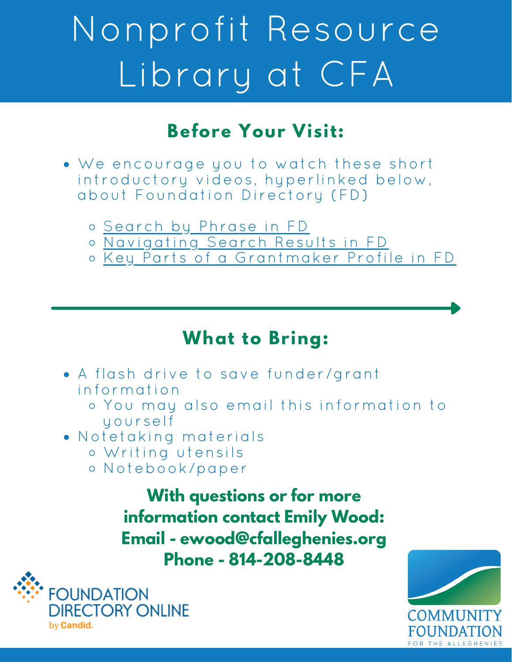# Nonprofit Resource Library at CFA

#### **Before Your Visit:**

- We encourage you to watch these short introductory videos, hyperlinked below, about Foundation Directory (FD)
	- [Search](https://www.youtube.com/watch?v=7ga9LEcaEYs) by Phrase in FD
	- [Navigating](https://www.youtube.com/watch?v=TlzXO46IOtI) Search Results in FD
	- Key Parts of a [Grantmaker](https://www.youtube.com/watch?v=6_V2zxYxyNw) Profile in FD

#### **What to Bring:**

- A flash drive to save funder/grant information
	- You may also email this information to yourself
- Notetaking materials
	- Writing utensils
	- Notebook/paper

**With questions or for more information contact Emily Wood: Email - ewood@cfalleghenies.org Phone - 814-208-8448**



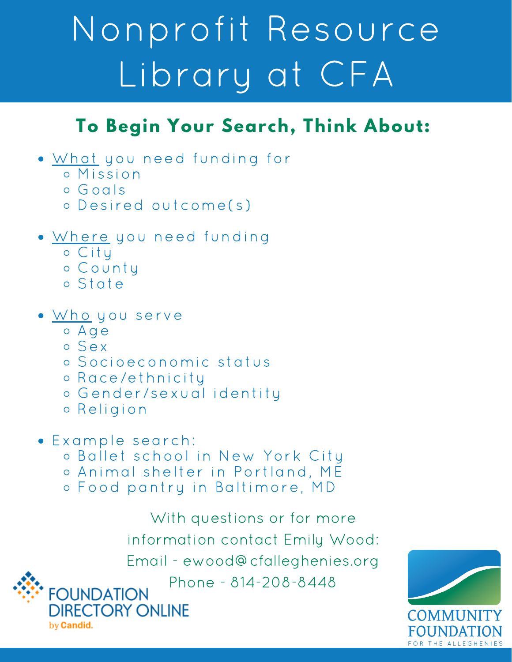# Nonprofit Resource Library at CFA

### **To Begin Your Search, Think About:**

- What you need funding for
	- Mission
	- Goals
	- Desired outcome(s)
- Where you need funding
	- o City
	- County
	- State
- Who you serve
	- Age
	- Sex

by **Candid**.

- Socioeconomic status
- Race/ethnicity
- o Gender/sexual identity
- Religion
- Example search:
	- Ballet school in New York City
	- o Animal shelter in Portland, ME
	- Food pantry in Baltimore, MD

With questions or for more information contact Emily Wood: Email - ewood@cfalleghenies.org Phone - 814-208-8448**FOUNDATION DIRECTORY ONLINE**